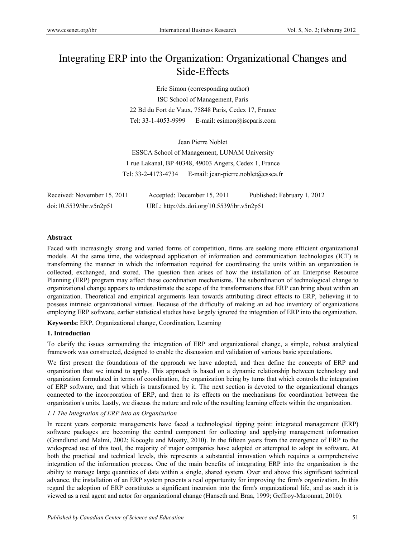# Integrating ERP into the Organization: Organizational Changes and Side-Effects

Eric Simon (corresponding author) ISC School of Management, Paris 22 Bd du Fort de Vaux, 75848 Paris, Cedex 17, France Tel: 33-1-4053-9999 E-mail: esimon@iscparis.com

Jean Pierre Noblet ESSCA School of Management, LUNAM University 1 rue Lakanal, BP 40348, 49003 Angers, Cedex 1, France Tel: 33-2-4173-4734 E-mail: jean-pierre.noblet@essca.fr

Received: November 15, 2011 Accepted: December 15, 2011 Published: February 1, 2012 doi:10.5539/ibr.v5n2p51 URL: http://dx.doi.org/10.5539/ibr.v5n2p51

#### **Abstract**

Faced with increasingly strong and varied forms of competition, firms are seeking more efficient organizational models. At the same time, the widespread application of information and communication technologies (ICT) is transforming the manner in which the information required for coordinating the units within an organization is collected, exchanged, and stored. The question then arises of how the installation of an Enterprise Resource Planning (ERP) program may affect these coordination mechanisms. The subordination of technological change to organizational change appears to underestimate the scope of the transformations that ERP can bring about within an organization. Theoretical and empirical arguments lean towards attributing direct effects to ERP, believing it to possess intrinsic organizational virtues. Because of the difficulty of making an ad hoc inventory of organizations employing ERP software, earlier statistical studies have largely ignored the integration of ERP into the organization.

**Keywords:** ERP, Organizational change, Coordination, Learning

# **1. Introduction**

To clarify the issues surrounding the integration of ERP and organizational change, a simple, robust analytical framework was constructed, designed to enable the discussion and validation of various basic speculations.

We first present the foundations of the approach we have adopted, and then define the concepts of ERP and organization that we intend to apply. This approach is based on a dynamic relationship between technology and organization formulated in terms of coordination, the organization being by turns that which controls the integration of ERP software, and that which is transformed by it. The next section is devoted to the organizational changes connected to the incorporation of ERP, and then to its effects on the mechanisms for coordination between the organization's units. Lastly, we discuss the nature and role of the resulting learning effects within the organization.

#### *1.1 The Integration of ERP into an Organization*

In recent years corporate managements have faced a technological tipping point: integrated management (ERP) software packages are becoming the central component for collecting and applying management information (Grandlund and Malmi, 2002; Kocoglu and Moatty, 2010). In the fifteen years from the emergence of ERP to the widespread use of this tool, the majority of major companies have adopted or attempted to adopt its software. At both the practical and technical levels, this represents a substantial innovation which requires a comprehensive integration of the information process. One of the main benefits of integrating ERP into the organization is the ability to manage large quantities of data within a single, shared system. Over and above this significant technical advance, the installation of an ERP system presents a real opportunity for improving the firm's organization. In this regard the adoption of ERP constitutes a significant incursion into the firm's organizational life, and as such it is viewed as a real agent and actor for organizational change (Hanseth and Braa, 1999; Geffroy-Maronnat, 2010).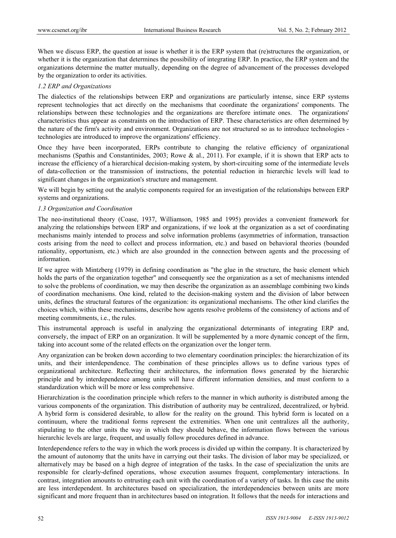When we discuss ERP, the question at issue is whether it is the ERP system that (re)structures the organization, or whether it is the organization that determines the possibility of integrating ERP. In practice, the ERP system and the organizations determine the matter mutually, depending on the degree of advancement of the processes developed by the organization to order its activities.

#### *1.2 ERP and Organizations*

The dialectics of the relationships between ERP and organizations are particularly intense, since ERP systems represent technologies that act directly on the mechanisms that coordinate the organizations' components. The relationships between these technologies and the organizations are therefore intimate ones. The organizations' characteristics thus appear as constraints on the introduction of ERP. These characteristics are often determined by the nature of the firm's activity and environment. Organizations are not structured so as to introduce technologies technologies are introduced to improve the organizations' efficiency.

Once they have been incorporated, ERPs contribute to changing the relative efficiency of organizational mechanisms (Spathis and Constantinides, 2003; Rowe & al., 2011). For example, if it is shown that ERP acts to increase the efficiency of a hierarchical decision-making system, by short-circuiting some of the intermediate levels of data-collection or the transmission of instructions, the potential reduction in hierarchic levels will lead to significant changes in the organization's structure and management.

We will begin by setting out the analytic components required for an investigation of the relationships between ERP systems and organizations.

#### *1.3 Organization and Coordination*

The neo-institutional theory (Coase, 1937, Williamson, 1985 and 1995) provides a convenient framework for analyzing the relationships between ERP and organizations, if we look at the organization as a set of coordinating mechanisms mainly intended to process and solve information problems (asymmetries of information, transaction costs arising from the need to collect and process information, etc.) and based on behavioral theories (bounded rationality, opportunism, etc.) which are also grounded in the connection between agents and the processing of information.

If we agree with Mintzberg (1979) in defining coordination as "the glue in the structure, the basic element which holds the parts of the organization together" and consequently see the organization as a set of mechanisms intended to solve the problems of coordination, we may then describe the organization as an assemblage combining two kinds of coordination mechanisms. One kind, related to the decision-making system and the division of labor between units, defines the structural features of the organization: its organizational mechanisms. The other kind clarifies the choices which, within these mechanisms, describe how agents resolve problems of the consistency of actions and of meeting commitments, i.e., the rules.

This instrumental approach is useful in analyzing the organizational determinants of integrating ERP and, conversely, the impact of ERP on an organization. It will be supplemented by a more dynamic concept of the firm, taking into account some of the related effects on the organization over the longer term.

Any organization can be broken down according to two elementary coordination principles: the hierarchization of its units, and their interdependence. The combination of these principles allows us to define various types of organizational architecture. Reflecting their architectures, the information flows generated by the hierarchic principle and by interdependence among units will have different information densities, and must conform to a standardization which will be more or less comprehensive.

Hierarchization is the coordination principle which refers to the manner in which authority is distributed among the various components of the organization. This distribution of authority may be centralized, decentralized, or hybrid. A hybrid form is considered desirable, to allow for the reality on the ground. This hybrid form is located on a continuum, where the traditional forms represent the extremities. When one unit centralizes all the authority, stipulating to the other units the way in which they should behave, the information flows between the various hierarchic levels are large, frequent, and usually follow procedures defined in advance.

Interdependence refers to the way in which the work process is divided up within the company. It is characterized by the amount of autonomy that the units have in carrying out their tasks. The division of labor may be specialized, or alternatively may be based on a high degree of integration of the tasks. In the case of specialization the units are responsible for clearly-defined operations, whose execution assumes frequent, complementary interactions. In contrast, integration amounts to entrusting each unit with the coordination of a variety of tasks. In this case the units are less interdependent. In architectures based on specialization, the interdependencies between units are more significant and more frequent than in architectures based on integration. It follows that the needs for interactions and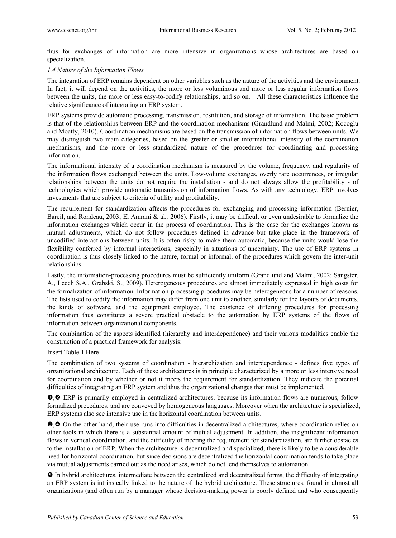thus for exchanges of information are more intensive in organizations whose architectures are based on specialization.

### *1.4 Nature of the Information Flows*

The integration of ERP remains dependent on other variables such as the nature of the activities and the environment. In fact, it will depend on the activities, the more or less voluminous and more or less regular information flows between the units, the more or less easy-to-codify relationships, and so on. All these characteristics influence the relative significance of integrating an ERP system.

ERP systems provide automatic processing, transmission, restitution, and storage of information. The basic problem is that of the relationships between ERP and the coordination mechanisms (Grandlund and Malmi, 2002; Kocoglu and Moatty, 2010). Coordination mechanisms are based on the transmission of information flows between units. We may distinguish two main categories, based on the greater or smaller informational intensity of the coordination mechanisms, and the more or less standardized nature of the procedures for coordinating and processing information.

The informational intensity of a coordination mechanism is measured by the volume, frequency, and regularity of the information flows exchanged between the units. Low-volume exchanges, overly rare occurrences, or irregular relationships between the units do not require the installation - and do not always allow the profitability - of technologies which provide automatic transmission of information flows. As with any technology, ERP involves investments that are subject to criteria of utility and profitability.

The requirement for standardization affects the procedures for exchanging and processing information (Bernier, Bareil, and Rondeau, 2003; El Amrani & al*.,* 2006). Firstly, it may be difficult or even undesirable to formalize the information exchanges which occur in the process of coordination. This is the case for the exchanges known as mutual adjustments, which do not follow procedures defined in advance but take place in the framework of uncodified interactions between units. It is often risky to make them automatic, because the units would lose the flexibility conferred by informal interactions, especially in situations of uncertainty. The use of ERP systems in coordination is thus closely linked to the nature, formal or informal, of the procedures which govern the inter-unit relationships.

Lastly, the information-processing procedures must be sufficiently uniform (Grandlund and Malmi, 2002; Sangster, A., Leech S.A., Grabski, S., 2009). Heterogeneous procedures are almost immediately expressed in high costs for the formalization of information. Information-processing procedures may be heterogeneous for a number of reasons. The lists used to codify the information may differ from one unit to another, similarly for the layouts of documents, the kinds of software, and the equipment employed. The existence of differing procedures for processing information thus constitutes a severe practical obstacle to the automation by ERP systems of the flows of information between organizational components.

The combination of the aspects identified (hierarchy and interdependence) and their various modalities enable the construction of a practical framework for analysis:

Insert Table 1 Here

The combination of two systems of coordination - hierarchization and interdependence - defines five types of organizational architecture. Each of these architectures is in principle characterized by a more or less intensive need for coordination and by whether or not it meets the requirement for standardization. They indicate the potential difficulties of integrating an ERP system and thus the organizational changes that must be implemented.

, ERP is primarily employed in centralized architectures, because its information flows are numerous, follow formalized procedures, and are conveyed by homogeneous languages. Moreover when the architecture is specialized, ERP systems also see intensive use in the horizontal coordination between units.

, On the other hand, their use runs into difficulties in decentralized architectures, where coordination relies on other tools in which there is a substantial amount of mutual adjustment. In addition, the insignificant information flows in vertical coordination, and the difficulty of meeting the requirement for standardization, are further obstacles to the installation of ERP. When the architecture is decentralized and specialized, there is likely to be a considerable need for horizontal coordination, but since decisions are decentralized the horizontal coordination tends to take place via mutual adjustments carried out as the need arises, which do not lend themselves to automation.

 In hybrid architectures, intermediate between the centralized and decentralized forms, the difficulty of integrating an ERP system is intrinsically linked to the nature of the hybrid architecture. These structures, found in almost all organizations (and often run by a manager whose decision-making power is poorly defined and who consequently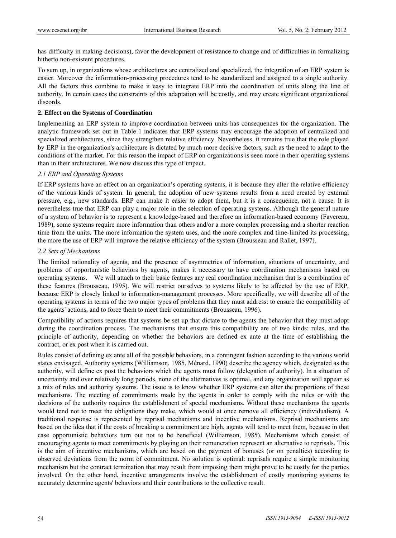has difficulty in making decisions), favor the development of resistance to change and of difficulties in formalizing hitherto non-existent procedures.

To sum up, in organizations whose architectures are centralized and specialized, the integration of an ERP system is easier. Moreover the information-processing procedures tend to be standardized and assigned to a single authority. All the factors thus combine to make it easy to integrate ERP into the coordination of units along the line of authority. In certain cases the constraints of this adaptation will be costly, and may create significant organizational discords.

#### **2. Effect on the Systems of Coordination**

Implementing an ERP system to improve coordination between units has consequences for the organization. The analytic framework set out in Table 1 indicates that ERP systems may encourage the adoption of centralized and specialized architectures, since they strengthen relative efficiency. Nevertheless, it remains true that the role played by ERP in the organization's architecture is dictated by much more decisive factors, such as the need to adapt to the conditions of the market. For this reason the impact of ERP on organizations is seen more in their operating systems than in their architectures. We now discuss this type of impact.

#### *2.1 ERP and Operating Systems*

If ERP systems have an effect on an organization's operating systems, it is because they alter the relative efficiency of the various kinds of system. In general, the adoption of new systems results from a need created by external pressure, e.g., new standards. ERP can make it easier to adopt them, but it is a consequence, not a cause. It is nevertheless true that ERP can play a major role in the selection of operating systems. Although the general nature of a system of behavior is to represent a knowledge-based and therefore an information-based economy (Favereau, 1989), some systems require more information than others and/or a more complex processing and a shorter reaction time from the units. The more information the system uses, and the more complex and time-limited its processing, the more the use of ERP will improve the relative efficiency of the system (Brousseau and Rallet, 1997).

# *2.2 Sets of Mechanisms*

The limited rationality of agents, and the presence of asymmetries of information, situations of uncertainty, and problems of opportunistic behaviors by agents, makes it necessary to have coordination mechanisms based on operating systems. We will attach to their basic features any real coordination mechanism that is a combination of these features (Brousseau, 1995). We will restrict ourselves to systems likely to be affected by the use of ERP, because ERP is closely linked to information-management processes. More specifically, we will describe all of the operating systems in terms of the two major types of problems that they must address: to ensure the compatibility of the agents' actions, and to force them to meet their commitments (Brousseau, 1996).

Compatibility of actions requires that systems be set up that dictate to the agents the behavior that they must adopt during the coordination process. The mechanisms that ensure this compatibility are of two kinds: rules, and the principle of authority, depending on whether the behaviors are defined ex ante at the time of establishing the contract, or ex post when it is carried out.

Rules consist of defining ex ante all of the possible behaviors, in a contingent fashion according to the various world states envisaged. Authority systems (Williamson, 1985, Ménard, 1990) describe the agency which, designated as the authority, will define ex post the behaviors which the agents must follow (delegation of authority). In a situation of uncertainty and over relatively long periods, none of the alternatives is optimal, and any organization will appear as a mix of rules and authority systems. The issue is to know whether ERP systems can alter the proportions of these mechanisms. The meeting of commitments made by the agents in order to comply with the rules or with the decisions of the authority requires the establishment of special mechanisms. Without these mechanisms the agents would tend not to meet the obligations they make, which would at once remove all efficiency (individualism). A traditional response is represented by reprisal mechanisms and incentive mechanisms. Reprisal mechanisms are based on the idea that if the costs of breaking a commitment are high, agents will tend to meet them, because in that case opportunistic behaviors turn out not to be beneficial (Williamson, 1985). Mechanisms which consist of encouraging agents to meet commitments by playing on their remuneration represent an alternative to reprisals. This is the aim of incentive mechanisms, which are based on the payment of bonuses (or on penalties) according to observed deviations from the norm of commitment. No solution is optimal: reprisals require a simple monitoring mechanism but the contract termination that may result from imposing them might prove to be costly for the parties involved. On the other hand, incentive arrangements involve the establishment of costly monitoring systems to accurately determine agents' behaviors and their contributions to the collective result.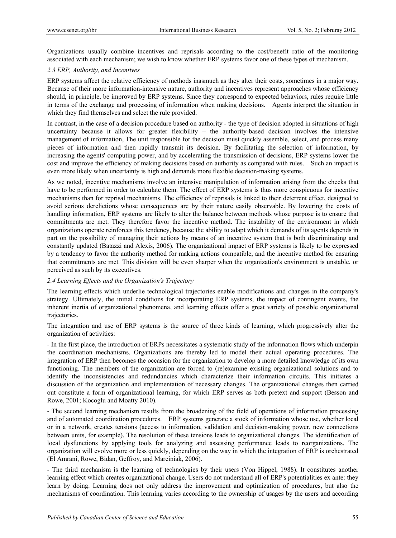Organizations usually combine incentives and reprisals according to the cost/benefit ratio of the monitoring associated with each mechanism; we wish to know whether ERP systems favor one of these types of mechanism.

# *2.3 ERP, Authority, and Incentives*

ERP systems affect the relative efficiency of methods inasmuch as they alter their costs, sometimes in a major way. Because of their more information-intensive nature, authority and incentives represent approaches whose efficiency should, in principle, be improved by ERP systems. Since they correspond to expected behaviors, rules require little in terms of the exchange and processing of information when making decisions. Agents interpret the situation in which they find themselves and select the rule provided.

In contrast, in the case of a decision procedure based on authority - the type of decision adopted in situations of high uncertainty because it allows for greater flexibility – the authority-based decision involves the intensive management of information, The unit responsible for the decision must quickly assemble, select, and process many pieces of information and then rapidly transmit its decision. By facilitating the selection of information, by increasing the agents' computing power, and by accelerating the transmission of decisions, ERP systems lower the cost and improve the efficiency of making decisions based on authority as compared with rules. Such an impact is even more likely when uncertainty is high and demands more flexible decision-making systems.

As we noted, incentive mechanisms involve an intensive manipulation of information arising from the checks that have to be performed in order to calculate them. The effect of ERP systems is thus more conspicuous for incentive mechanisms than for reprisal mechanisms. The efficiency of reprisals is linked to their deterrent effect, designed to avoid serious derelictions whose consequences are by their nature easily observable. By lowering the costs of handling information, ERP systems are likely to alter the balance between methods whose purpose is to ensure that commitments are met. They therefore favor the incentive method. The instability of the environment in which organizations operate reinforces this tendency, because the ability to adapt which it demands of its agents depends in part on the possibility of managing their actions by means of an incentive system that is both discriminating and constantly updated (Batazzi and Alexis, 2006). The organizational impact of ERP systems is likely to be expressed by a tendency to favor the authority method for making actions compatible, and the incentive method for ensuring that commitments are met. This division will be even sharper when the organization's environment is unstable, or perceived as such by its executives.

#### *2.4 Learning Effects and the Organization's Trajectory*

The learning effects which underlie technological trajectories enable modifications and changes in the company's strategy. Ultimately, the initial conditions for incorporating ERP systems, the impact of contingent events, the inherent inertia of organizational phenomena, and learning effects offer a great variety of possible organizational trajectories.

The integration and use of ERP systems is the source of three kinds of learning, which progressively alter the organization of activities:

- In the first place, the introduction of ERPs necessitates a systematic study of the information flows which underpin the coordination mechanisms. Organizations are thereby led to model their actual operating procedures. The integration of ERP then becomes the occasion for the organization to develop a more detailed knowledge of its own functioning. The members of the organization are forced to (re)examine existing organizational solutions and to identify the inconsistencies and redundancies which characterize their information circuits. This initiates a discussion of the organization and implementation of necessary changes. The organizational changes then carried out constitute a form of organizational learning, for which ERP serves as both pretext and support (Besson and Rowe, 2001; Kocoglu and Moatty 2010).

- The second learning mechanism results from the broadening of the field of operations of information processing and of automated coordination procedures. ERP systems generate a stock of information whose use, whether local or in a network, creates tensions (access to information, validation and decision-making power, new connections between units, for example). The resolution of these tensions leads to organizational changes. The identification of local dysfunctions by applying tools for analyzing and assessing performance leads to reorganizations. The organization will evolve more or less quickly, depending on the way in which the integration of ERP is orchestrated (El Amrani, Rowe, Bidan, Geffroy, and Marciniak, 2006).

- The third mechanism is the learning of technologies by their users (Von Hippel, 1988). It constitutes another learning effect which creates organizational change. Users do not understand all of ERP's potentialities ex ante: they learn by doing. Learning does not only address the improvement and optimization of procedures, but also the mechanisms of coordination. This learning varies according to the ownership of usages by the users and according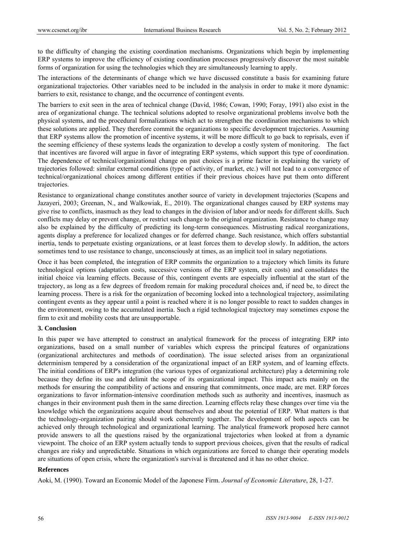to the difficulty of changing the existing coordination mechanisms. Organizations which begin by implementing ERP systems to improve the efficiency of existing coordination processes progressively discover the most suitable forms of organization for using the technologies which they are simultaneously learning to apply.

The interactions of the determinants of change which we have discussed constitute a basis for examining future organizational trajectories. Other variables need to be included in the analysis in order to make it more dynamic: barriers to exit, resistance to change, and the occurrence of contingent events.

The barriers to exit seen in the area of technical change (David, 1986; Cowan, 1990; Foray, 1991) also exist in the area of organizational change. The technical solutions adopted to resolve organizational problems involve both the physical systems, and the procedural formalizations which act to strengthen the coordination mechanisms to which these solutions are applied. They therefore commit the organizations to specific development trajectories. Assuming that ERP systems allow the promotion of incentive systems, it will be more difficult to go back to reprisals, even if the seeming efficiency of these systems leads the organization to develop a costly system of monitoring. The fact that incentives are favored will argue in favor of integrating ERP systems, which support this type of coordination. The dependence of technical/organizational change on past choices is a prime factor in explaining the variety of trajectories followed: similar external conditions (type of activity, of market, etc.) will not lead to a convergence of technical/organizational choices among different entities if their previous choices have put them onto different trajectories.

Resistance to organizational change constitutes another source of variety in development trajectories (Scapens and Jazayeri, 2003; Greenan, N., and Walkowiak, E., 2010). The organizational changes caused by ERP systems may give rise to conflicts, inasmuch as they lead to changes in the division of labor and/or needs for different skills. Such conflicts may delay or prevent change, or restrict such change to the original organization. Resistance to change may also be explained by the difficulty of predicting its long-term consequences. Mistrusting radical reorganizations, agents display a preference for localized changes or for deferred change. Such resistance, which offers substantial inertia, tends to perpetuate existing organizations, or at least forces them to develop slowly. In addition, the actors sometimes tend to use resistance to change, unconsciously at times, as an implicit tool in salary negotiations.

Once it has been completed, the integration of ERP commits the organization to a trajectory which limits its future technological options (adaptation costs, successive versions of the ERP system, exit costs) and consolidates the initial choice via learning effects. Because of this, contingent events are especially influential at the start of the trajectory, as long as a few degrees of freedom remain for making procedural choices and, if need be, to direct the learning process. There is a risk for the organization of becoming locked into a technological trajectory, assimilating contingent events as they appear until a point is reached where it is no longer possible to react to sudden changes in the environment, owing to the accumulated inertia. Such a rigid technological trajectory may sometimes expose the firm to exit and mobility costs that are unsupportable.

#### **3. Conclusion**

In this paper we have attempted to construct an analytical framework for the process of integrating ERP into organizations, based on a small number of variables which express the principal features of organizations (organizational architectures and methods of coordination). The issue selected arises from an organizational determinism tempered by a consideration of the organizational impact of an ERP system, and of learning effects. The initial conditions of ERP's integration (the various types of organizational architecture) play a determining role because they define its use and delimit the scope of its organizational impact. This impact acts mainly on the methods for ensuring the compatibility of actions and ensuring that commitments, once made, are met. ERP forces organizations to favor information-intensive coordination methods such as authority and incentives, inasmuch as changes in their environment push them in the same direction. Learning effects relay these changes over time via the knowledge which the organizations acquire about themselves and about the potential of ERP. What matters is that the technology-organization pairing should work coherently together. The development of both aspects can be achieved only through technological and organizational learning. The analytical framework proposed here cannot provide answers to all the questions raised by the organizational trajectories when looked at from a dynamic viewpoint. The choice of an ERP system actually tends to support previous choices, given that the results of radical changes are risky and unpredictable. Situations in which organizations are forced to change their operating models are situations of open crisis, where the organization's survival is threatened and it has no other choice.

#### **References**

Aoki, M. (1990). Toward an Economic Model of the Japonese Firm. *Journal of Economic Literature*, 28, 1-27.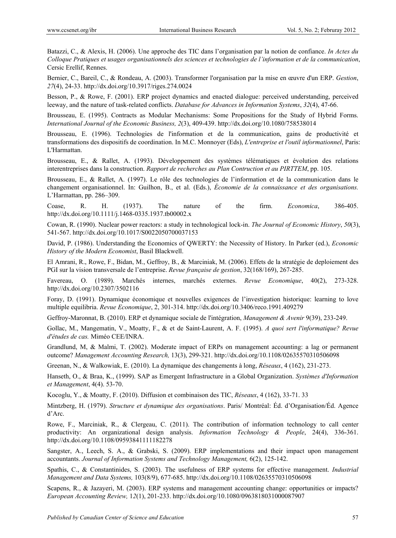Batazzi, C., & Alexis, H. (2006). Une approche des TIC dans l'organisation par la notion de confiance. *In Actes du Colloque Pratiques et usages organisationnels des sciences et technologies de l'information et de la communication*, Cersic Erellif, Rennes.

Bernier, C., Bareil, C., & Rondeau, A. (2003). Transformer l'organisation par la mise en œuvre d'un ERP. *Gestion*, *27*(4), 24-33. http://dx.doi.org/10.3917/riges.274.0024

Besson, P., & Rowe, F. (2001). ERP project dynamics and enacted dialogue: perceived understanding, perceived leeway, and the nature of task-related conflicts. *Database for Advances in Information Systems*, *32*(4), 47-66.

Brousseau, E. (1995). Contracts as Modular Mechanisms: Some Propositions for the Study of Hybrid Forms. *International Journal of the Economic Business, 2*(3), 409-439. http://dx.doi.org/10.1080/758538014

Brousseau, E. (1996). Technologies de l'information et de la communication, gains de productivité et transformations des dispositifs de coordination. In M.C. Monnoyer (Eds), *L'entreprise et l'outil informationnel*, Paris: L'Harmattan.

Brousseau, E., & Rallet, A. (1993). Développement des systèmes télématiques et évolution des relations interentreprises dans la construction. *Rapport de recherches au Plan Contruction et au PIRTTEM*, pp. 105.

Brousseau, E., & Rallet, A. (1997). Le rôle des technologies de l'information et de la communication dans le changement organisationnel. In: Guilhon, B., et al. (Eds.), *Économie de la connaissance et des organisations.* L'Harmattan, pp. 286–309.

Coase, R. H. (1937). The nature of the firm. *Economica*, 386-405. http://dx.doi.org/10.1111/j.1468-0335.1937.tb00002.x

Cowan, R. (1990). Nuclear power reactors: a study in technological lock-in. *The Journal of Economic History*, *50*(3), 541-567. http://dx.doi.org/10.1017/S0022050700037153

David, P. (1986). Understanding the Economics of QWERTY: the Necessity of History. In Parker (ed.), *Economic History of the Modern Economist*, Basil Blackwell.

El Amrani, R., Rowe, F., Bidan, M., Geffroy, B., & Marciniak, M. (2006). Effets de la stratégie de deploiement des PGI sur la vision transversale de l'entreprise. *Revue française de gestion*, 32(168/169), 267-285.

Favereau, O. (1989). Marchés internes, marchés externes. *Revue Economique*, 40(2), 273-328. http://dx.doi.org/10.2307/3502116

Foray, D. (1991). Dynamique économique et nouvelles exigences de l'investigation historique: learning to love multiple equilibria. *Revue Economique*, 2, 301-314. http://dx.doi.org/10.3406/reco.1991.409279

Geffroy-Maronnat, B. (2010). ERP et dynamique sociale de l'intégration, *Management & Avenir* 9(39), 233-249.

Gollac, M., Mangematin, V., Moatty, F., & et de Saint-Laurent, A. F. (1995). *A quoi sert l'informatique? Revue d'études de cas.* Miméo CEE/INRA.

Grandlund, M, & Malmi, T. (2002). Moderate impact of ERPs on management accounting: a lag or permanent outcome? *Management Accounting Research,* 13(3), 299-321. http://dx.doi.org/10.1108/02635570310506098

Greenan, N., & Walkowiak, E. (2010). La dynamique des changements à long, *Réseaux*, 4 (162), 231-273.

Hanseth, O., & Braa, K., (1999). SAP as Emergent Infrastructure in a Global Organization. *Systèmes d'Information et Management*, 4(4). 53-70.

Kocoglu, Y., & Moatty, F. (2010). Diffusion et combinaison des TIC, *Réseaux*, 4 (162), 33-71. 33

Mintzberg, H. (1979). *Structure et dynamique des organisations*. Paris/ Montréal: Éd. d'Organisation/Éd. Agence d'Arc.

Rowe, F., Marciniak, R., & Clergeau, C. (2011). The contribution of information technology to call center productivity: An organizational design analysis. *Information Technology & People*, 24(4), 336-361. http://dx.doi.org/10.1108/09593841111182278

Sangster, A., Leech, S. A., & Grabski, S. (2009). ERP implementations and their impact upon management accountants. *Journal of Information Systems and Technology Management,* 6(2), 125-142.

Spathis, C., & Constantinides, S. (2003). The usefulness of ERP systems for effective management. *Industrial Management and Data Systems,* 103(8/9), 677-685. http://dx.doi.org/10.1108/02635570310506098

Scapens, R., & Jazayeri, M. (2003). ERP systems and management accounting change: opportunities or impacts? *European Accounting Review,* 1*2*(1), 201-233. http://dx.doi.org/10.1080/0963818031000087907